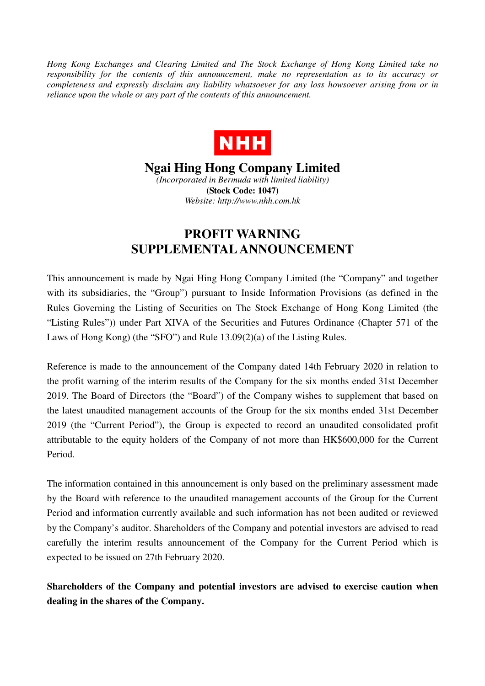*Hong Kong Exchanges and Clearing Limited and The Stock Exchange of Hong Kong Limited take no responsibility for the contents of this announcement, make no representation as to its accuracy or completeness and expressly disclaim any liability whatsoever for any loss howsoever arising from or in reliance upon the whole or any part of the contents of this announcement.* 



**Ngai Hing Hong Company Limited** 

*(Incorporated in Bermuda with limited liability)*  **(Stock Code: 1047)**  *Website: http://www.nhh.com.hk* 

## **PROFIT WARNING SUPPLEMENTAL ANNOUNCEMENT**

This announcement is made by Ngai Hing Hong Company Limited (the "Company" and together with its subsidiaries, the "Group") pursuant to Inside Information Provisions (as defined in the Rules Governing the Listing of Securities on The Stock Exchange of Hong Kong Limited (the "Listing Rules")) under Part XIVA of the Securities and Futures Ordinance (Chapter 571 of the Laws of Hong Kong) (the "SFO") and Rule 13.09(2)(a) of the Listing Rules.

Reference is made to the announcement of the Company dated 14th February 2020 in relation to the profit warning of the interim results of the Company for the six months ended 31st December 2019. The Board of Directors (the "Board") of the Company wishes to supplement that based on the latest unaudited management accounts of the Group for the six months ended 31st December 2019 (the "Current Period"), the Group is expected to record an unaudited consolidated profit attributable to the equity holders of the Company of not more than HK\$600,000 for the Current Period.

The information contained in this announcement is only based on the preliminary assessment made by the Board with reference to the unaudited management accounts of the Group for the Current Period and information currently available and such information has not been audited or reviewed by the Company's auditor. Shareholders of the Company and potential investors are advised to read carefully the interim results announcement of the Company for the Current Period which is expected to be issued on 27th February 2020.

**Shareholders of the Company and potential investors are advised to exercise caution when dealing in the shares of the Company.**